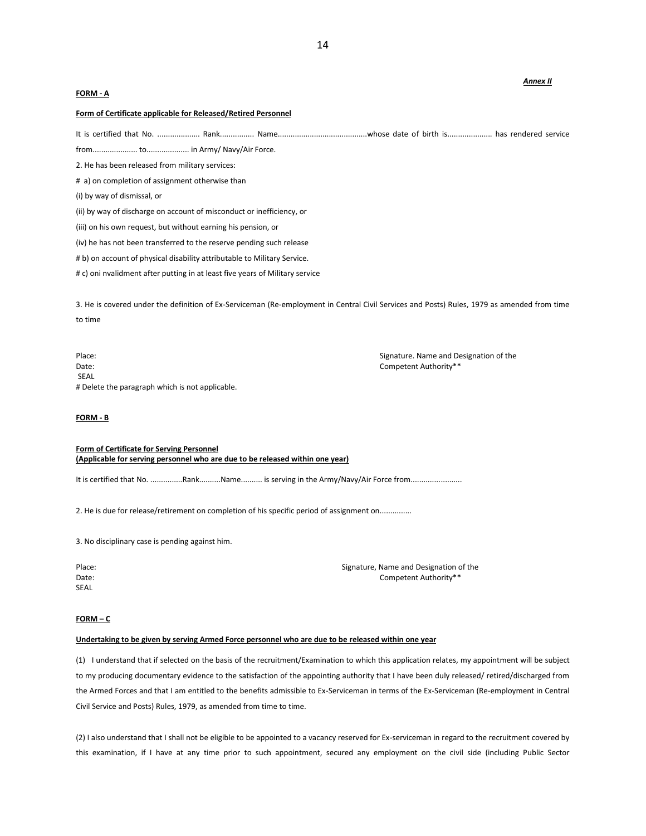## **FORM - A**

### **Form of Certificate applicable for Released/Retired Personnel**

It is certified that No. .................... Rank................ Name..........................................whose date of birth is..................... has rendered service

from..................... to.................... in Army/ Navy/Air Force.

2. He has been released from military services:

# a) on completion of assignment otherwise than

(i) by way of dismissal, or

(ii) by way of discharge on account of misconduct or inefficiency, or

(iii) on his own request, but without earning his pension, or

(iv) he has not been transferred to the reserve pending such release

# b) on account of physical disability attributable to Military Service.

# c) oni nvalidment after putting in at least five years of Military service

3. He is covered under the definition of Ex-Serviceman (Re-employment in Central Civil Services and Posts) Rules, 1979 as amended from time to time

Place: Signature. Name and Designation of the Date: Competent Authority\*\* SEAL # Delete the paragraph which is not applicable.

## **FORM - B**

**Form of Certificate for Serving Personnel (Applicable for serving personnel who are due to be released within one year)**

It is certified that No. ...............Rank..........Name.......... is serving in the Army/Navy/Air Force from.......................

2. He is due for release/retirement on completion of his specific period of assignment on..............

3. No disciplinary case is pending against him.

SEAL

Place: Signature, Name and Designation of the Superior of the Superior Signature, Name and Designation of the Date: Competent Authority\*\*

#### **FORM – C**

# **Undertaking to be given by serving Armed Force personnel who are due to be released within one year**

(1) I understand that if selected on the basis of the recruitment/Examination to which this application relates, my appointment will be subject to my producing documentary evidence to the satisfaction of the appointing authority that I have been duly released/ retired/discharged from the Armed Forces and that I am entitled to the benefits admissible to Ex-Serviceman in terms of the Ex-Serviceman (Re-employment in Central Civil Service and Posts) Rules, 1979, as amended from time to time.

(2) I also understand that I shall not be eligible to be appointed to a vacancy reserved for Ex-serviceman in regard to the recruitment covered by this examination, if I have at any time prior to such appointment, secured any employment on the civil side (including Public Sector

## *Annex II*